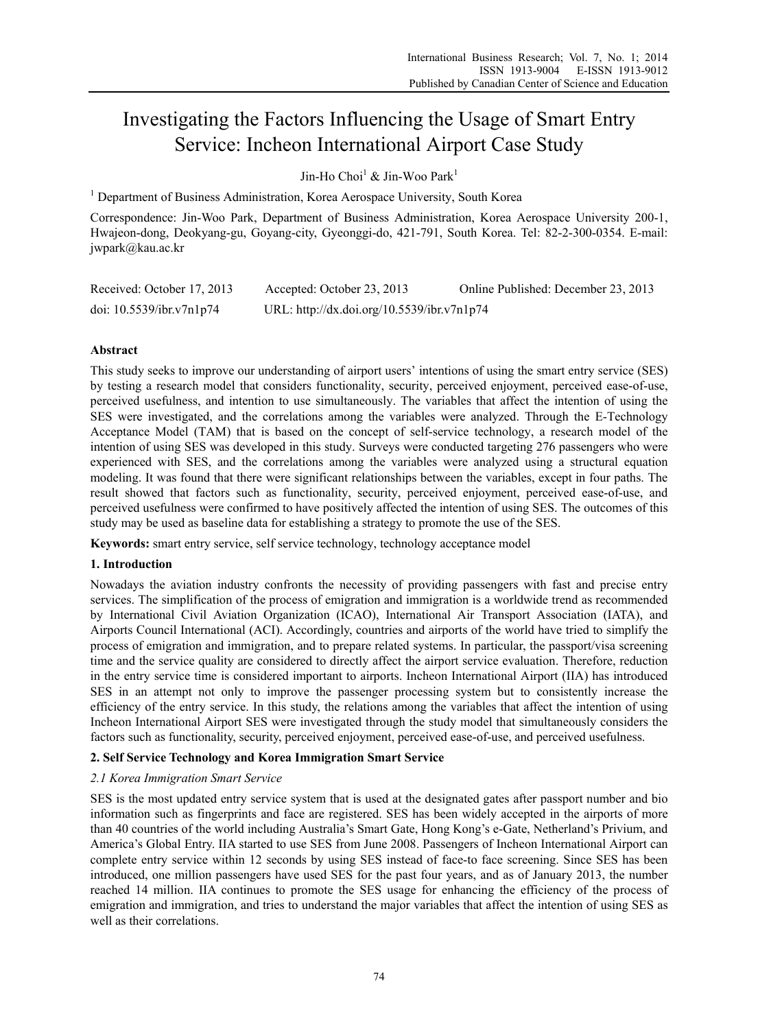# Investigating the Factors Influencing the Usage of Smart Entry Service: Incheon International Airport Case Study

Jin-Ho Choi<sup>1</sup> & Jin-Woo Park<sup>1</sup>

<sup>1</sup> Department of Business Administration, Korea Aerospace University, South Korea

Correspondence: Jin-Woo Park, Department of Business Administration, Korea Aerospace University 200-1, Hwajeon-dong, Deokyang-gu, Goyang-city, Gyeonggi-do, 421-791, South Korea. Tel: 82-2-300-0354. E-mail: jwpark@kau.ac.kr

| Received: October 17, 2013  | Accepted: October 23, 2013                 | Online Published: December 23, 2013 |
|-----------------------------|--------------------------------------------|-------------------------------------|
| doi: $10.5539$ /ibr.v7n1p74 | URL: http://dx.doi.org/10.5539/ibr.v7n1p74 |                                     |

# **Abstract**

This study seeks to improve our understanding of airport users' intentions of using the smart entry service (SES) by testing a research model that considers functionality, security, perceived enjoyment, perceived ease-of-use, perceived usefulness, and intention to use simultaneously. The variables that affect the intention of using the SES were investigated, and the correlations among the variables were analyzed. Through the E-Technology Acceptance Model (TAM) that is based on the concept of self-service technology, a research model of the intention of using SES was developed in this study. Surveys were conducted targeting 276 passengers who were experienced with SES, and the correlations among the variables were analyzed using a structural equation modeling. It was found that there were significant relationships between the variables, except in four paths. The result showed that factors such as functionality, security, perceived enjoyment, perceived ease-of-use, and perceived usefulness were confirmed to have positively affected the intention of using SES. The outcomes of this study may be used as baseline data for establishing a strategy to promote the use of the SES.

**Keywords:** smart entry service, self service technology, technology acceptance model

# **1. Introduction**

Nowadays the aviation industry confronts the necessity of providing passengers with fast and precise entry services. The simplification of the process of emigration and immigration is a worldwide trend as recommended by International Civil Aviation Organization (ICAO), International Air Transport Association (IATA), and Airports Council International (ACI). Accordingly, countries and airports of the world have tried to simplify the process of emigration and immigration, and to prepare related systems. In particular, the passport/visa screening time and the service quality are considered to directly affect the airport service evaluation. Therefore, reduction in the entry service time is considered important to airports. Incheon International Airport (IIA) has introduced SES in an attempt not only to improve the passenger processing system but to consistently increase the efficiency of the entry service. In this study, the relations among the variables that affect the intention of using Incheon International Airport SES were investigated through the study model that simultaneously considers the factors such as functionality, security, perceived enjoyment, perceived ease-of-use, and perceived usefulness.

# **2. Self Service Technology and Korea Immigration Smart Service**

# *2.1 Korea Immigration Smart Service*

SES is the most updated entry service system that is used at the designated gates after passport number and bio information such as fingerprints and face are registered. SES has been widely accepted in the airports of more than 40 countries of the world including Australia's Smart Gate, Hong Kong's e-Gate, Netherland's Privium, and America's Global Entry. IIA started to use SES from June 2008. Passengers of Incheon International Airport can complete entry service within 12 seconds by using SES instead of face-to face screening. Since SES has been introduced, one million passengers have used SES for the past four years, and as of January 2013, the number reached 14 million. IIA continues to promote the SES usage for enhancing the efficiency of the process of emigration and immigration, and tries to understand the major variables that affect the intention of using SES as well as their correlations.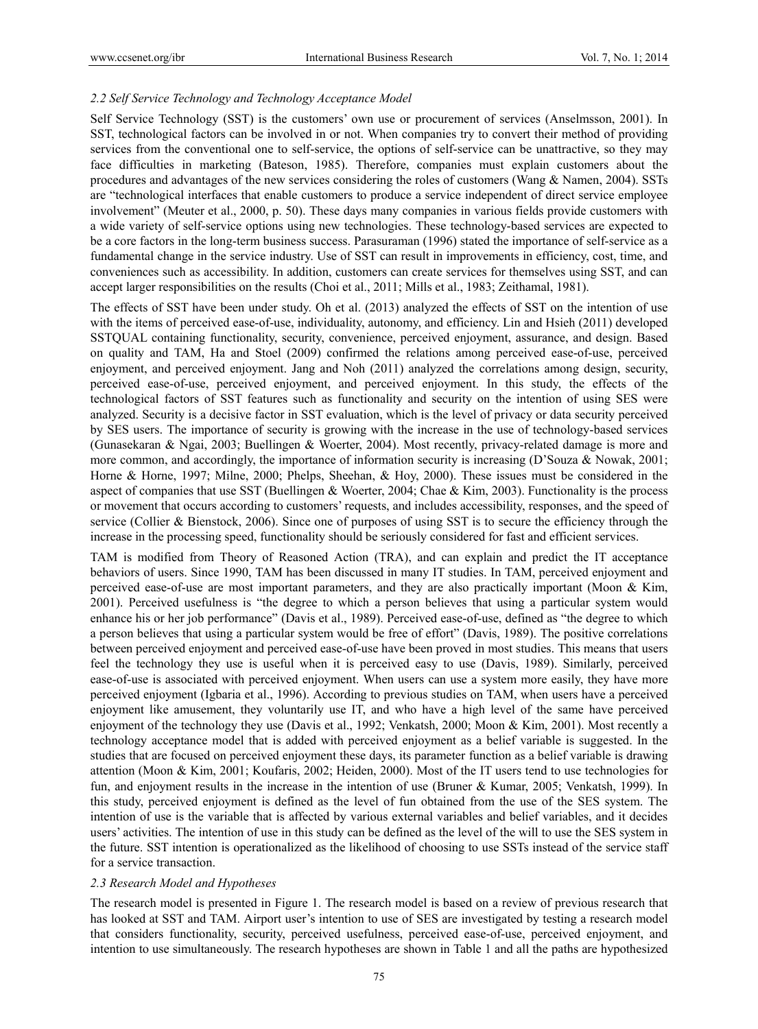#### *2.2 Self Service Technology and Technology Acceptance Model*

Self Service Technology (SST) is the customers' own use or procurement of services (Anselmsson, 2001). In SST, technological factors can be involved in or not. When companies try to convert their method of providing services from the conventional one to self-service, the options of self-service can be unattractive, so they may face difficulties in marketing (Bateson, 1985). Therefore, companies must explain customers about the procedures and advantages of the new services considering the roles of customers (Wang & Namen, 2004). SSTs are "technological interfaces that enable customers to produce a service independent of direct service employee involvement" (Meuter et al., 2000, p. 50). These days many companies in various fields provide customers with a wide variety of self-service options using new technologies. These technology-based services are expected to be a core factors in the long-term business success. Parasuraman (1996) stated the importance of self-service as a fundamental change in the service industry. Use of SST can result in improvements in efficiency, cost, time, and conveniences such as accessibility. In addition, customers can create services for themselves using SST, and can accept larger responsibilities on the results (Choi et al., 2011; Mills et al., 1983; Zeithamal, 1981).

The effects of SST have been under study. Oh et al. (2013) analyzed the effects of SST on the intention of use with the items of perceived ease-of-use, individuality, autonomy, and efficiency. Lin and Hsieh (2011) developed SSTQUAL containing functionality, security, convenience, perceived enjoyment, assurance, and design. Based on quality and TAM, Ha and Stoel (2009) confirmed the relations among perceived ease-of-use, perceived enjoyment, and perceived enjoyment. Jang and Noh (2011) analyzed the correlations among design, security, perceived ease-of-use, perceived enjoyment, and perceived enjoyment. In this study, the effects of the technological factors of SST features such as functionality and security on the intention of using SES were analyzed. Security is a decisive factor in SST evaluation, which is the level of privacy or data security perceived by SES users. The importance of security is growing with the increase in the use of technology-based services (Gunasekaran & Ngai, 2003; Buellingen & Woerter, 2004). Most recently, privacy-related damage is more and more common, and accordingly, the importance of information security is increasing (D'Souza & Nowak, 2001; Horne & Horne, 1997; Milne, 2000; Phelps, Sheehan, & Hoy, 2000). These issues must be considered in the aspect of companies that use SST (Buellingen & Woerter, 2004; Chae & Kim, 2003). Functionality is the process or movement that occurs according to customers' requests, and includes accessibility, responses, and the speed of service (Collier & Bienstock, 2006). Since one of purposes of using SST is to secure the efficiency through the increase in the processing speed, functionality should be seriously considered for fast and efficient services.

TAM is modified from Theory of Reasoned Action (TRA), and can explain and predict the IT acceptance behaviors of users. Since 1990, TAM has been discussed in many IT studies. In TAM, perceived enjoyment and perceived ease-of-use are most important parameters, and they are also practically important (Moon & Kim, 2001). Perceived usefulness is "the degree to which a person believes that using a particular system would enhance his or her job performance" (Davis et al., 1989). Perceived ease-of-use, defined as "the degree to which a person believes that using a particular system would be free of effort" (Davis, 1989). The positive correlations between perceived enjoyment and perceived ease-of-use have been proved in most studies. This means that users feel the technology they use is useful when it is perceived easy to use (Davis, 1989). Similarly, perceived ease-of-use is associated with perceived enjoyment. When users can use a system more easily, they have more perceived enjoyment (Igbaria et al., 1996). According to previous studies on TAM, when users have a perceived enjoyment like amusement, they voluntarily use IT, and who have a high level of the same have perceived enjoyment of the technology they use (Davis et al., 1992; Venkatsh, 2000; Moon & Kim, 2001). Most recently a technology acceptance model that is added with perceived enjoyment as a belief variable is suggested. In the studies that are focused on perceived enjoyment these days, its parameter function as a belief variable is drawing attention (Moon & Kim, 2001; Koufaris, 2002; Heiden, 2000). Most of the IT users tend to use technologies for fun, and enjoyment results in the increase in the intention of use (Bruner & Kumar, 2005; Venkatsh, 1999). In this study, perceived enjoyment is defined as the level of fun obtained from the use of the SES system. The intention of use is the variable that is affected by various external variables and belief variables, and it decides users' activities. The intention of use in this study can be defined as the level of the will to use the SES system in the future. SST intention is operationalized as the likelihood of choosing to use SSTs instead of the service staff for a service transaction.

#### *2.3 Research Model and Hypotheses*

The research model is presented in Figure 1. The research model is based on a review of previous research that has looked at SST and TAM. Airport user's intention to use of SES are investigated by testing a research model that considers functionality, security, perceived usefulness, perceived ease-of-use, perceived enjoyment, and intention to use simultaneously. The research hypotheses are shown in Table 1 and all the paths are hypothesized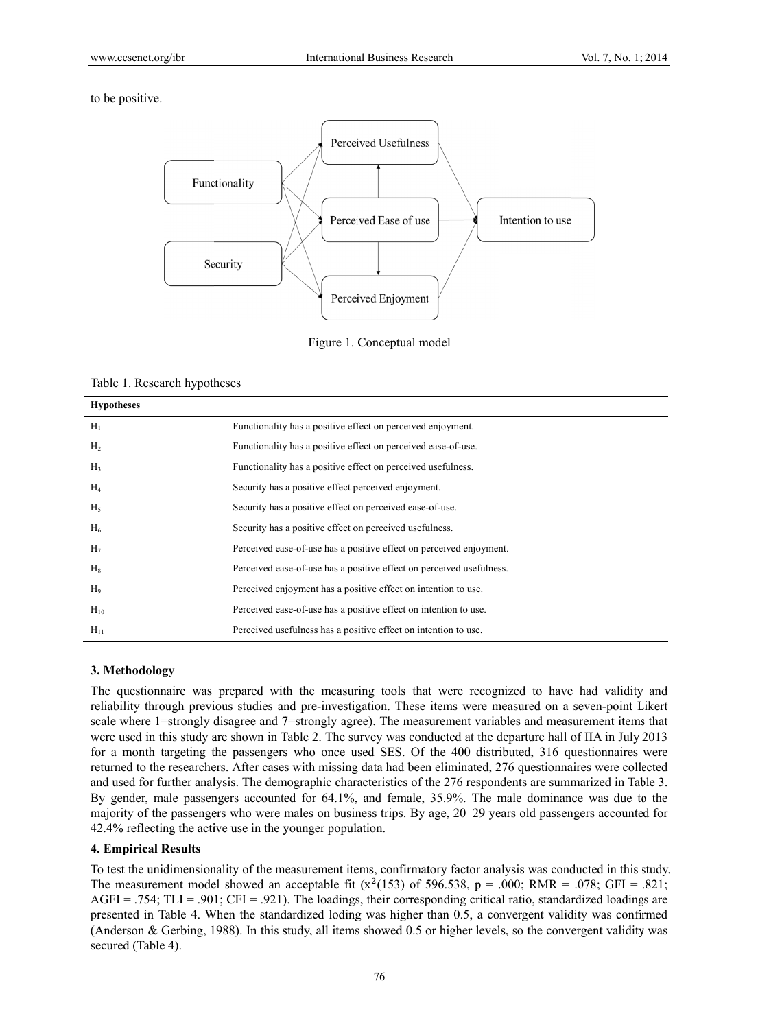#### to be positive.



Figure 1. Conceptual m model

| Table 1. Research hypotheses |  |
|------------------------------|--|
| <b>Hypotheses</b>            |  |

| $-$ , $\mu$ $\sigma$ $\sigma$ $\sigma$ $\sigma$ $\sigma$ |                                                                      |
|----------------------------------------------------------|----------------------------------------------------------------------|
| H <sub>1</sub>                                           | Functionality has a positive effect on perceived enjoyment.          |
| H <sub>2</sub>                                           | Functionality has a positive effect on perceived ease-of-use.        |
| H <sub>3</sub>                                           | Functionality has a positive effect on perceived usefulness.         |
| $H_4$                                                    | Security has a positive effect perceived enjoyment.                  |
| $H_5$                                                    | Security has a positive effect on perceived ease-of-use.             |
| $H_6$                                                    | Security has a positive effect on perceived usefulness.              |
| $H_7$                                                    | Perceived ease-of-use has a positive effect on perceived enjoyment.  |
| $H_8$                                                    | Perceived ease-of-use has a positive effect on perceived usefulness. |
| H <sub>o</sub>                                           | Perceived enjoyment has a positive effect on intention to use.       |
| $H_{10}$                                                 | Perceived ease-of-use has a positive effect on intention to use.     |
| $H_{11}$                                                 | Perceived usefulness has a positive effect on intention to use.      |
|                                                          |                                                                      |

# **3. Method dology**

The questionnaire was prepared with the measuring tools that were recognized to have had validity and reliability through previous studies and pre-investigation. These items were measured on a seven-point Likert scale where 1=strongly disagree and 7=strongly agree). The measurement variables and measurement items that were used in this study are shown in Table 2. The survey was conducted at the departure hall of IIA in July 2013 for a month targeting the passengers who once used SES. Of the 400 distributed, 316 questionnaires were returned to the researchers. After cases with missing data had been eliminated, 276 questionnaires were collected and used for further analysis. The demographic characteristics of the 276 respondents are summarized in Table 3. By gender, male passengers accounted for 64.1%, and female, 35.9%. The male dominance was due to the majority of the passengers who were males on business trips. By age, 20–29 years old passengers accounted for 42.4% reflecting the active use in the younger population.

#### **4. Empiric cal Results**

To test the unidimensionality of the measurement items, confirmatory factor analysis was conducted in this study. The measurement model showed an acceptable fit  $(x^{2}(153)$  of 596.538, p = .000; RMR = .078; GFI = .821;  $AGFI = .754$ ;  $TLI = .901$ ;  $CFI = .921$ ). The loadings, their corresponding critical ratio, standardized loadings are presented in Table 4. When the standardized loding was higher than 0.5, a convergent validity was confirmed (Anderson & Gerbing, 1988). In this study, all items showed 0.5 or higher levels, so the convergent validity was secured (Table 4).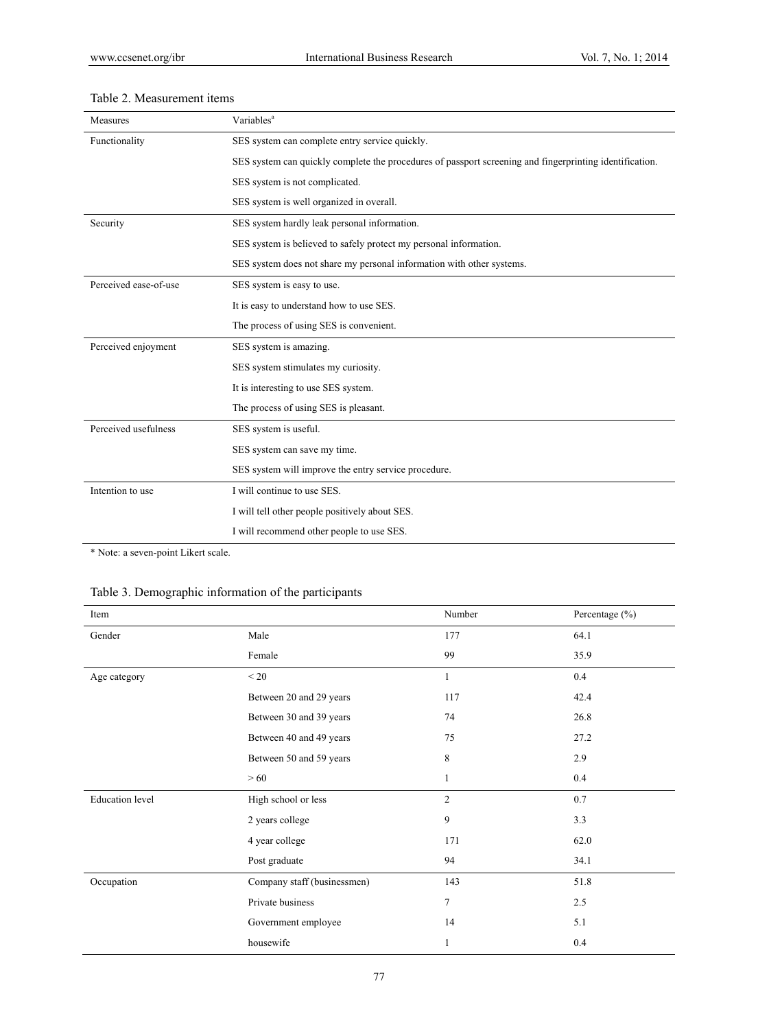| Measures              | Variables <sup>a</sup>                                                                                  |
|-----------------------|---------------------------------------------------------------------------------------------------------|
| Functionality         | SES system can complete entry service quickly.                                                          |
|                       | SES system can quickly complete the procedures of passport screening and fingerprinting identification. |
|                       | SES system is not complicated.                                                                          |
|                       | SES system is well organized in overall.                                                                |
| Security              | SES system hardly leak personal information.                                                            |
|                       | SES system is believed to safely protect my personal information.                                       |
|                       | SES system does not share my personal information with other systems.                                   |
| Perceived ease-of-use | SES system is easy to use.                                                                              |
|                       | It is easy to understand how to use SES.                                                                |
|                       | The process of using SES is convenient.                                                                 |
| Perceived enjoyment   | SES system is amazing.                                                                                  |
|                       | SES system stimulates my curiosity.                                                                     |
|                       | It is interesting to use SES system.                                                                    |
|                       | The process of using SES is pleasant.                                                                   |
| Perceived usefulness  | SES system is useful.                                                                                   |
|                       | SES system can save my time.                                                                            |
|                       | SES system will improve the entry service procedure.                                                    |
| Intention to use      | I will continue to use SES.                                                                             |
|                       | I will tell other people positively about SES.                                                          |
|                       | I will recommend other people to use SES.                                                               |

# Table 2. Measurement items

\* Note: a seven-point Likert scale.

# Table 3. Demographic information of the participants

| Item                   |                             | Number         | Percentage (%) |
|------------------------|-----------------------------|----------------|----------------|
| Gender                 | Male                        | 177            | 64.1           |
|                        | Female                      | 99             | 35.9           |
| Age category           | $\leq 20$                   | $\mathbf{1}$   | 0.4            |
|                        | Between 20 and 29 years     | 117            | 42.4           |
|                        | Between 30 and 39 years     | 74             | 26.8           |
|                        | Between 40 and 49 years     | 75             | 27.2           |
|                        | Between 50 and 59 years     | 8              | 2.9            |
|                        | >60                         | 1              | 0.4            |
| <b>Education</b> level | High school or less         | $\overline{c}$ | 0.7            |
|                        | 2 years college             | 9              | 3.3            |
|                        | 4 year college              | 171            | 62.0           |
|                        | Post graduate               | 94             | 34.1           |
| Occupation             | Company staff (businessmen) | 143            | 51.8           |
|                        | Private business            | $\tau$         | 2.5            |
|                        | Government employee         | 14             | 5.1            |
|                        | housewife                   | $\mathbf{1}$   | 0.4            |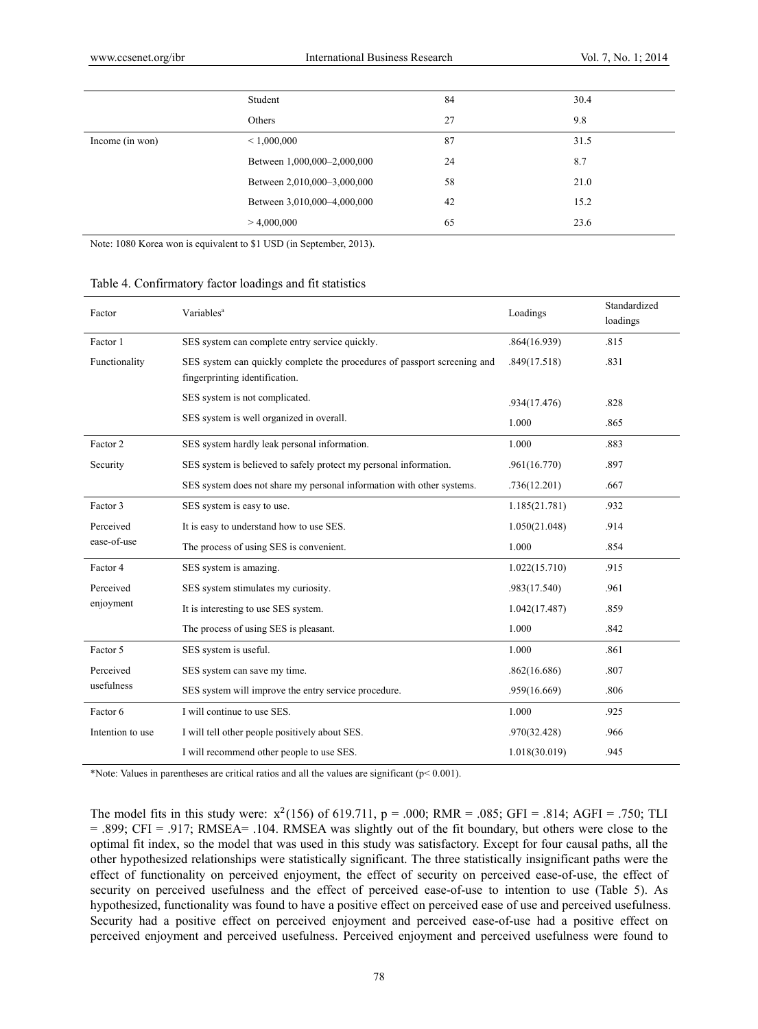|                 | Student                     | 84 | 30.4 |
|-----------------|-----------------------------|----|------|
|                 | Others                      | 27 | 9.8  |
| Income (in won) | < 1,000,000                 | 87 | 31.5 |
|                 | Between 1,000,000-2,000,000 | 24 | 8.7  |
|                 | Between 2,010,000-3,000,000 | 58 | 21.0 |
|                 | Between 3,010,000-4,000,000 | 42 | 15.2 |
|                 | > 4,000,000                 | 65 | 23.6 |

Note: 1080 Korea won is equivalent to \$1 USD (in September, 2013).

|  |  | Table 4. Confirmatory factor loadings and fit statistics |  |  |  |  |
|--|--|----------------------------------------------------------|--|--|--|--|
|--|--|----------------------------------------------------------|--|--|--|--|

| Factor           | Variables <sup>a</sup>                                                                                     | Loadings      | Standardized<br>loadings |
|------------------|------------------------------------------------------------------------------------------------------------|---------------|--------------------------|
| Factor 1         | SES system can complete entry service quickly.                                                             | .864(16.939)  | .815                     |
| Functionality    | SES system can quickly complete the procedures of passport screening and<br>fingerprinting identification. | .849(17.518)  | .831                     |
|                  | SES system is not complicated.                                                                             | .934(17.476)  | .828                     |
|                  | SES system is well organized in overall.                                                                   | 1.000         | .865                     |
| Factor 2         | SES system hardly leak personal information.                                                               | 1.000         | .883                     |
| Security         | SES system is believed to safely protect my personal information.                                          | .961(16.770)  | .897                     |
|                  | SES system does not share my personal information with other systems.                                      | .736(12.201)  | .667                     |
| Factor 3         | SES system is easy to use.                                                                                 | 1.185(21.781) | .932                     |
| Perceived        | It is easy to understand how to use SES.                                                                   | 1.050(21.048) | .914                     |
| ease-of-use      | The process of using SES is convenient.                                                                    | 1.000         | .854                     |
| Factor 4         | SES system is amazing.                                                                                     | 1.022(15.710) | .915                     |
| Perceived        | SES system stimulates my curiosity.                                                                        | .983(17.540)  | .961                     |
| enjoyment        | It is interesting to use SES system.                                                                       | 1.042(17.487) | .859                     |
|                  | The process of using SES is pleasant.                                                                      | 1.000         | .842                     |
| Factor 5         | SES system is useful.                                                                                      | 1.000         | .861                     |
| Perceived        | SES system can save my time.                                                                               | .862(16.686)  | .807                     |
| usefulness       | SES system will improve the entry service procedure.                                                       | .959(16.669)  | .806                     |
| Factor 6         | I will continue to use SES.                                                                                | 1.000         | .925                     |
| Intention to use | I will tell other people positively about SES.                                                             | .970(32.428)  | .966                     |
|                  | I will recommend other people to use SES.                                                                  | 1.018(30.019) | .945                     |

\*Note: Values in parentheses are critical ratios and all the values are significant (p< 0.001).

The model fits in this study were:  $x^{2}(156)$  of 619.711, p = .000; RMR = .085; GFI = .814; AGFI = .750; TLI = .899; CFI = .917; RMSEA= .104. RMSEA was slightly out of the fit boundary, but others were close to the optimal fit index, so the model that was used in this study was satisfactory. Except for four causal paths, all the other hypothesized relationships were statistically significant. The three statistically insignificant paths were the effect of functionality on perceived enjoyment, the effect of security on perceived ease-of-use, the effect of security on perceived usefulness and the effect of perceived ease-of-use to intention to use (Table 5). As hypothesized, functionality was found to have a positive effect on perceived ease of use and perceived usefulness. Security had a positive effect on perceived enjoyment and perceived ease-of-use had a positive effect on perceived enjoyment and perceived usefulness. Perceived enjoyment and perceived usefulness were found to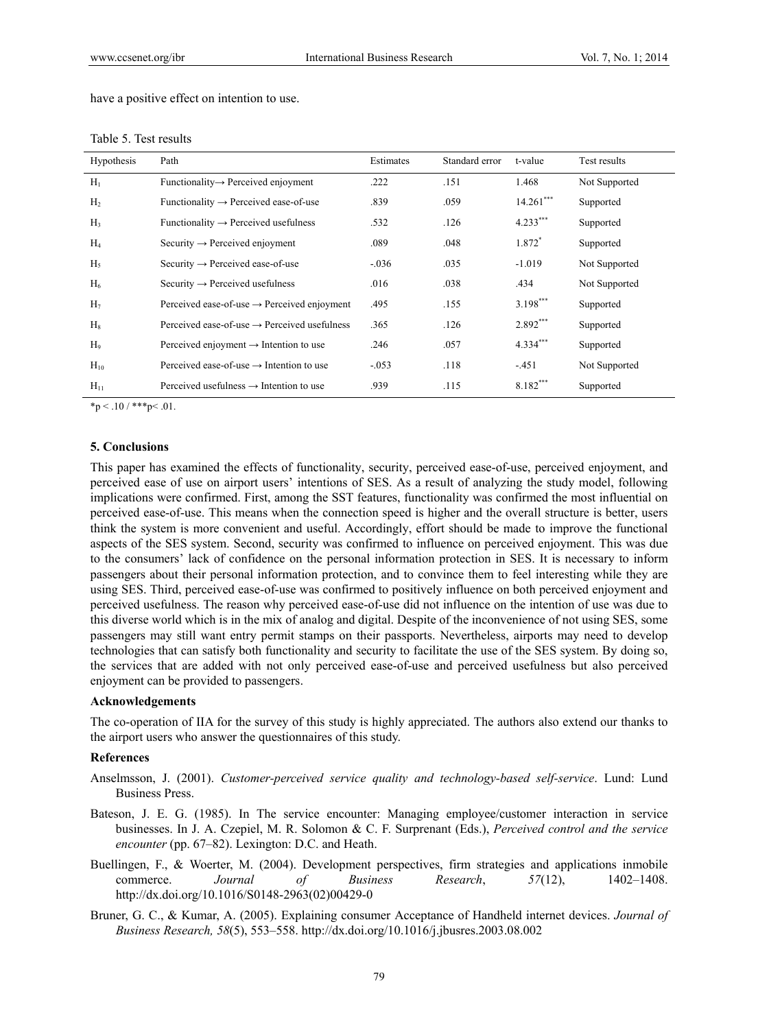have a positive effect on intention to use.

|  |  |  | Table 5. Test results |
|--|--|--|-----------------------|
|--|--|--|-----------------------|

| Hypothesis     | Path                                                     | Estimates | Standard error | t-value            | Test results  |
|----------------|----------------------------------------------------------|-----------|----------------|--------------------|---------------|
| $H_1$          | Functionality $\rightarrow$ Perceived enjoyment          | .222      | .151           | 1.468              | Not Supported |
| H <sub>2</sub> | Functionality $\rightarrow$ Perceived ease-of-use        | .839      | .059           | $14.261***$        | Supported     |
| $H_3$          | Functionality $\rightarrow$ Perceived usefulness         | .532      | .126           | $4.233***$         | Supported     |
| $H_4$          | Security $\rightarrow$ Perceived enjoyment               | .089      | .048           | 1.872 <sup>*</sup> | Supported     |
| $H_5$          | Security $\rightarrow$ Perceived ease-of-use             | $-.036$   | .035           | $-1.019$           | Not Supported |
| $H_6$          | Security $\rightarrow$ Perceived usefulness              | .016      | .038           | .434               | Not Supported |
| H <sub>7</sub> | Perceived ease-of-use $\rightarrow$ Perceived enjoyment  | .495      | .155           | 3.198***           | Supported     |
| $H_8$          | Perceived ease-of-use $\rightarrow$ Perceived usefulness | .365      | .126           | 2.892***           | Supported     |
| H <sub>9</sub> | Perceived enjoyment $\rightarrow$ Intention to use       | .246      | .057           | $4.334***$         | Supported     |
| $H_{10}$       | Perceived ease-of-use $\rightarrow$ Intention to use     | $-.053$   | .118           | $-451$             | Not Supported |
| $H_{11}$       | Perceived usefulness $\rightarrow$ Intention to use      | .939      | .115           | 8.182***           | Supported     |

 $*p < .10$  /  $**p < .01$ .

### **5. Conclusions**

This paper has examined the effects of functionality, security, perceived ease-of-use, perceived enjoyment, and perceived ease of use on airport users' intentions of SES. As a result of analyzing the study model, following implications were confirmed. First, among the SST features, functionality was confirmed the most influential on perceived ease-of-use. This means when the connection speed is higher and the overall structure is better, users think the system is more convenient and useful. Accordingly, effort should be made to improve the functional aspects of the SES system. Second, security was confirmed to influence on perceived enjoyment. This was due to the consumers' lack of confidence on the personal information protection in SES. It is necessary to inform passengers about their personal information protection, and to convince them to feel interesting while they are using SES. Third, perceived ease-of-use was confirmed to positively influence on both perceived enjoyment and perceived usefulness. The reason why perceived ease-of-use did not influence on the intention of use was due to this diverse world which is in the mix of analog and digital. Despite of the inconvenience of not using SES, some passengers may still want entry permit stamps on their passports. Nevertheless, airports may need to develop technologies that can satisfy both functionality and security to facilitate the use of the SES system. By doing so, the services that are added with not only perceived ease-of-use and perceived usefulness but also perceived enjoyment can be provided to passengers.

#### **Acknowledgements**

The co-operation of IIA for the survey of this study is highly appreciated. The authors also extend our thanks to the airport users who answer the questionnaires of this study.

#### **References**

- Anselmsson, J. (2001). *Customer-perceived service quality and technology-based self-service*. Lund: Lund Business Press.
- Bateson, J. E. G. (1985). In The service encounter: Managing employee/customer interaction in service businesses. In J. A. Czepiel, M. R. Solomon & C. F. Surprenant (Eds.), *Perceived control and the service encounter* (pp. 67–82). Lexington: D.C. and Heath.
- Buellingen, F., & Woerter, M. (2004). Development perspectives, firm strategies and applications inmobile commerce. *Journal of Business Research*, *57*(12), 1402–1408. http://dx.doi.org/10.1016/S0148-2963(02)00429-0
- Bruner, G. C., & Kumar, A. (2005). Explaining consumer Acceptance of Handheld internet devices. *Journal of Business Research, 58*(5), 553–558. http://dx.doi.org/10.1016/j.jbusres.2003.08.002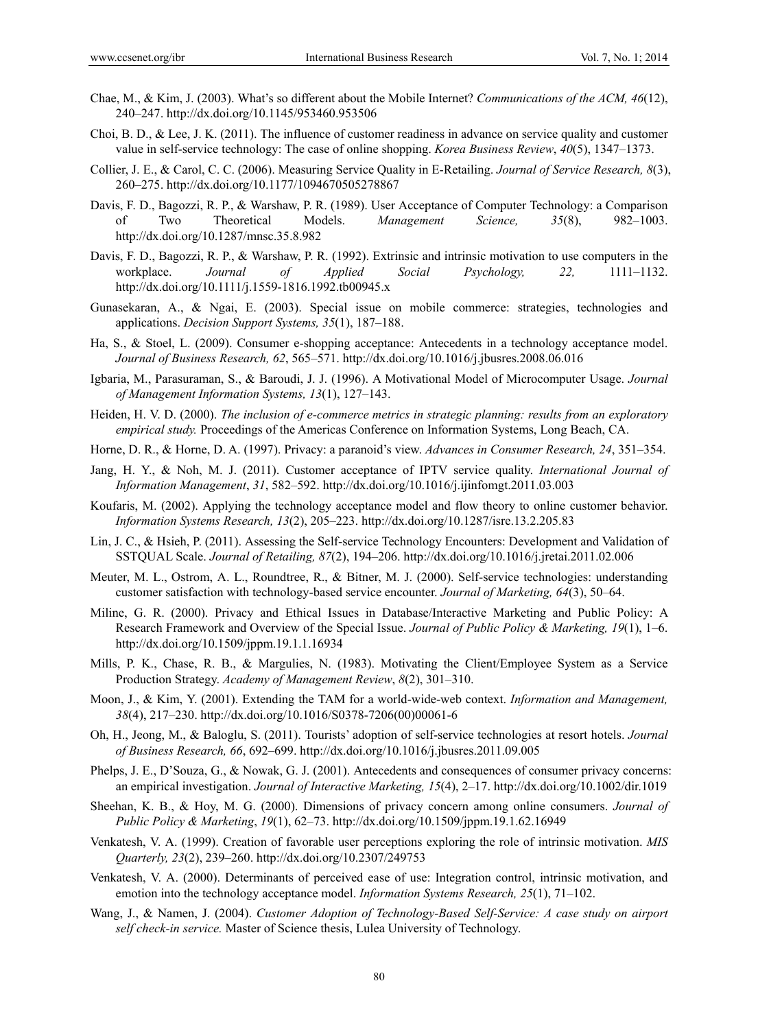- Chae, M., & Kim, J. (2003). What's so different about the Mobile Internet? *Communications of the ACM, 46*(12), 240–247. http://dx.doi.org/10.1145/953460.953506
- Choi, B. D., & Lee, J. K. (2011). The influence of customer readiness in advance on service quality and customer value in self-service technology: The case of online shopping. *Korea Business Review*, *40*(5), 1347–1373.
- Collier, J. E., & Carol, C. C. (2006). Measuring Service Quality in E-Retailing. *Journal of Service Research, 8*(3), 260–275. http://dx.doi.org/10.1177/1094670505278867
- Davis, F. D., Bagozzi, R. P., & Warshaw, P. R. (1989). User Acceptance of Computer Technology: a Comparison of Two Theoretical Models. *Management Science, 35*(8), 982–1003. http://dx.doi.org/10.1287/mnsc.35.8.982
- Davis, F. D., Bagozzi, R. P., & Warshaw, P. R. (1992). Extrinsic and intrinsic motivation to use computers in the workplace. *Journal of Applied Social Psychology, 22,* 1111–1132. http://dx.doi.org/10.1111/j.1559-1816.1992.tb00945.x
- Gunasekaran, A., & Ngai, E. (2003). Special issue on mobile commerce: strategies, technologies and applications. *Decision Support Systems, 35*(1), 187–188.
- Ha, S., & Stoel, L. (2009). Consumer e-shopping acceptance: Antecedents in a technology acceptance model. *Journal of Business Research, 62*, 565–571. http://dx.doi.org/10.1016/j.jbusres.2008.06.016
- Igbaria, M., Parasuraman, S., & Baroudi, J. J. (1996). A Motivational Model of Microcomputer Usage. *Journal of Management Information Systems, 13*(1), 127–143.
- Heiden, H. V. D. (2000). *The inclusion of e-commerce metrics in strategic planning: results from an exploratory empirical study.* Proceedings of the Americas Conference on Information Systems, Long Beach, CA.
- Horne, D. R., & Horne, D. A. (1997). Privacy: a paranoid's view. *Advances in Consumer Research, 24*, 351–354.
- Jang, H. Y., & Noh, M. J. (2011). Customer acceptance of IPTV service quality. *International Journal of Information Management*, *31*, 582–592. http://dx.doi.org/10.1016/j.ijinfomgt.2011.03.003
- Koufaris, M. (2002). Applying the technology acceptance model and flow theory to online customer behavior. *Information Systems Research, 13*(2), 205–223. http://dx.doi.org/10.1287/isre.13.2.205.83
- Lin, J. C., & Hsieh, P. (2011). Assessing the Self-service Technology Encounters: Development and Validation of SSTQUAL Scale. *Journal of Retailing, 87*(2), 194–206. http://dx.doi.org/10.1016/j.jretai.2011.02.006
- Meuter, M. L., Ostrom, A. L., Roundtree, R., & Bitner, M. J. (2000). Self-service technologies: understanding customer satisfaction with technology-based service encounter. *Journal of Marketing, 64*(3), 50–64.
- Miline, G. R. (2000). Privacy and Ethical Issues in Database/Interactive Marketing and Public Policy: A Research Framework and Overview of the Special Issue. *Journal of Public Policy & Marketing, 19*(1), 1–6. http://dx.doi.org/10.1509/jppm.19.1.1.16934
- Mills, P. K., Chase, R. B., & Margulies, N. (1983). Motivating the Client/Employee System as a Service Production Strategy. *Academy of Management Review*, *8*(2), 301–310.
- Moon, J., & Kim, Y. (2001). Extending the TAM for a world-wide-web context. *Information and Management, 38*(4), 217–230. http://dx.doi.org/10.1016/S0378-7206(00)00061-6
- Oh, H., Jeong, M., & Baloglu, S. (2011). Tourists' adoption of self-service technologies at resort hotels. *Journal of Business Research, 66*, 692–699. http://dx.doi.org/10.1016/j.jbusres.2011.09.005
- Phelps, J. E., D'Souza, G., & Nowak, G. J. (2001). Antecedents and consequences of consumer privacy concerns: an empirical investigation. *Journal of Interactive Marketing, 15*(4), 2–17. http://dx.doi.org/10.1002/dir.1019
- Sheehan, K. B., & Hoy, M. G. (2000). Dimensions of privacy concern among online consumers. *Journal of Public Policy & Marketing*, *19*(1), 62–73. http://dx.doi.org/10.1509/jppm.19.1.62.16949
- Venkatesh, V. A. (1999). Creation of favorable user perceptions exploring the role of intrinsic motivation. *MIS Quarterly, 23*(2), 239–260. http://dx.doi.org/10.2307/249753
- Venkatesh, V. A. (2000). Determinants of perceived ease of use: Integration control, intrinsic motivation, and emotion into the technology acceptance model. *Information Systems Research, 25*(1), 71–102.
- Wang, J., & Namen, J. (2004). *Customer Adoption of Technology-Based Self-Service: A case study on airport self check-in service.* Master of Science thesis, Lulea University of Technology.